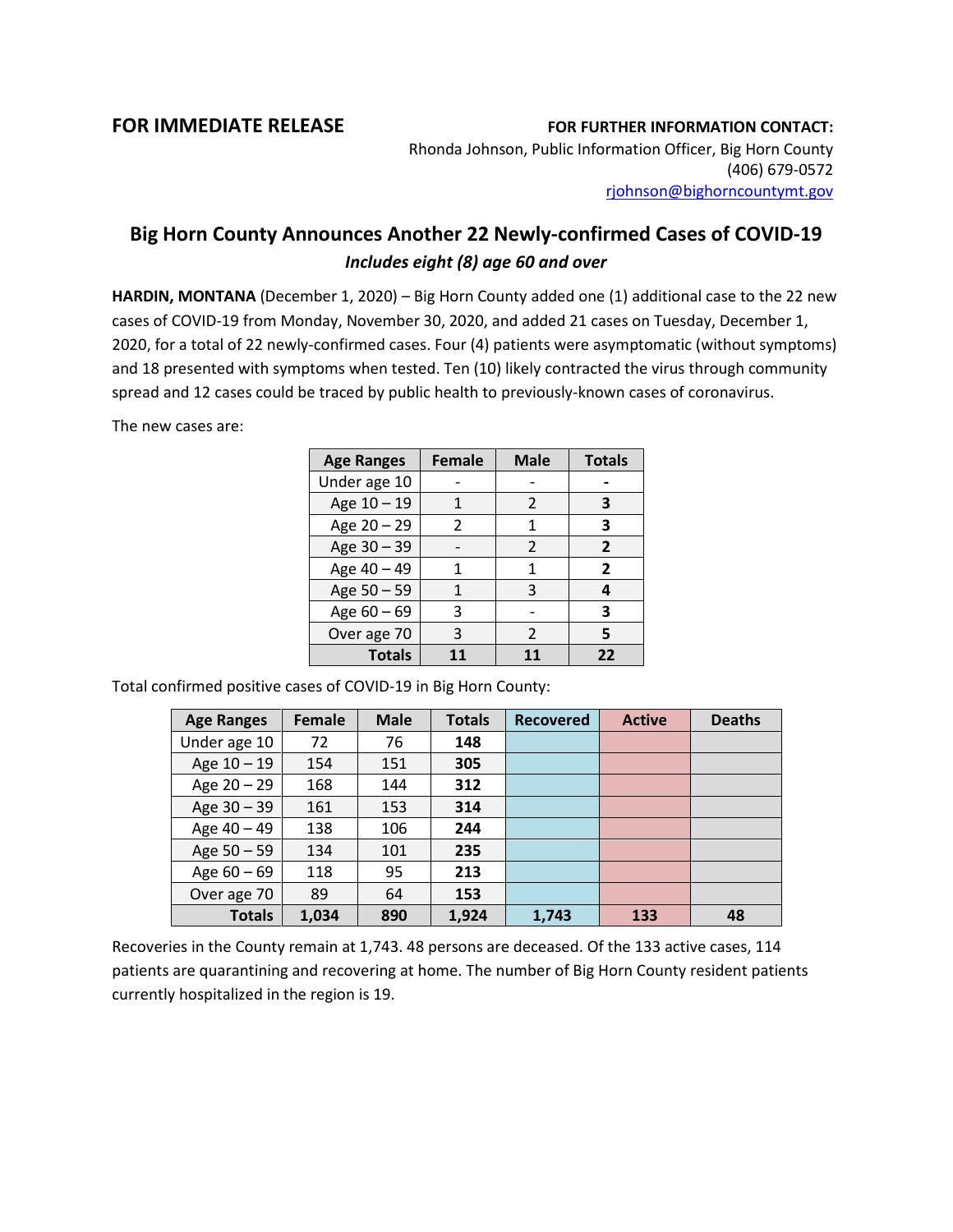## **FOR IMMEDIATE RELEASE FOR FURTHER INFORMATION CONTACT:**

Rhonda Johnson, Public Information Officer, Big Horn County (406) 679-0572 [rjohnson@bighorncountymt.gov](mailto:rjohnson@bighorncountymt.gov)

## **Big Horn County Announces Another 22 Newly-confirmed Cases of COVID-19** *Includes eight (8) age 60 and over*

**HARDIN, MONTANA** (December 1, 2020) – Big Horn County added one (1) additional case to the 22 new cases of COVID-19 from Monday, November 30, 2020, and added 21 cases on Tuesday, December 1, 2020, for a total of 22 newly-confirmed cases. Four (4) patients were asymptomatic (without symptoms) and 18 presented with symptoms when tested. Ten (10) likely contracted the virus through community spread and 12 cases could be traced by public health to previously-known cases of coronavirus.

The new cases are:

| <b>Age Ranges</b> | <b>Female</b> | <b>Male</b>    | <b>Totals</b>  |
|-------------------|---------------|----------------|----------------|
| Under age 10      |               |                |                |
| Age 10 - 19       |               | 2              | З              |
| Age 20 - 29       | $\mathcal{P}$ | 1              | 3              |
| Age 30 - 39       |               | $\mathfrak{p}$ | $\overline{2}$ |
| Age 40 - 49       |               | 1              | 2              |
| Age 50 - 59       | 1             | 3              | 4              |
| Age 60 - 69       | 3             |                | 3              |
| Over age 70       | 3             | 2              | 5              |
| <b>Totals</b>     |               |                | 22             |

Total confirmed positive cases of COVID-19 in Big Horn County:

| <b>Age Ranges</b> | Female | <b>Male</b> | <b>Totals</b> | <b>Recovered</b> | <b>Active</b> | <b>Deaths</b> |
|-------------------|--------|-------------|---------------|------------------|---------------|---------------|
| Under age 10      | 72     | 76          | 148           |                  |               |               |
| Age $10 - 19$     | 154    | 151         | 305           |                  |               |               |
| Age $20 - 29$     | 168    | 144         | 312           |                  |               |               |
| Age 30 - 39       | 161    | 153         | 314           |                  |               |               |
| Age 40 - 49       | 138    | 106         | 244           |                  |               |               |
| Age $50 - 59$     | 134    | 101         | 235           |                  |               |               |
| Age $60 - 69$     | 118    | 95          | 213           |                  |               |               |
| Over age 70       | 89     | 64          | 153           |                  |               |               |
| <b>Totals</b>     | 1,034  | 890         | 1,924         | 1,743            | 133           | 48            |

Recoveries in the County remain at 1,743. 48 persons are deceased. Of the 133 active cases, 114 patients are quarantining and recovering at home. The number of Big Horn County resident patients currently hospitalized in the region is 19.